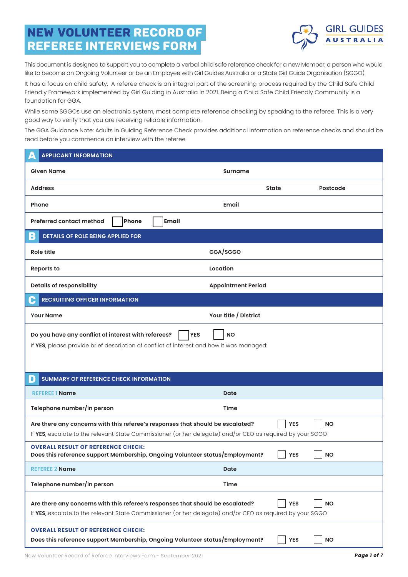## NEW VOLUNTEER Record of Referee Interviews form



This document is designed to support you to complete a verbal child safe reference check for a new Member, a person who would like to become an Ongoing Volunteer or be an Employee with Girl Guides Australia or a State Girl Guide Organisation (SGGO).

It has a focus on child safety. A referee check is an integral part of the screening process required by the Child Safe Child Friendly Framework implemented by Girl Guiding in Australia in 2021. Being a Child Safe Child Friendly Community is a foundation for GGA.

While some SGGOs use an electronic system, most complete reference checking by speaking to the referee. This is a very good way to verify that you are receiving reliable information.

The GGA Guidance Note: Adults in Guiding Reference Check provides additional information on reference checks and should be read before you commence an interview with the referee.

| <b>APPLICANT INFORMATION</b>                                                                                                                                                                |                           |              |           |
|---------------------------------------------------------------------------------------------------------------------------------------------------------------------------------------------|---------------------------|--------------|-----------|
| Given Name                                                                                                                                                                                  | <b>Surname</b>            |              |           |
| <b>Address</b>                                                                                                                                                                              |                           | <b>State</b> | Postcode  |
| Phone                                                                                                                                                                                       | Email                     |              |           |
| Phone<br><b>Preferred contact method</b><br>Email                                                                                                                                           |                           |              |           |
| B<br>DETAILS OF ROLE BEING APPLIED FOR                                                                                                                                                      |                           |              |           |
| <b>Role title</b>                                                                                                                                                                           | GGA/SGGO                  |              |           |
| <b>Reports to</b>                                                                                                                                                                           | Location                  |              |           |
| <b>Details of responsibility</b>                                                                                                                                                            | <b>Appointment Period</b> |              |           |
| <b>RECRUITING OFFICER INFORMATION</b><br>G                                                                                                                                                  |                           |              |           |
| <b>Your Name</b>                                                                                                                                                                            | Your title / District     |              |           |
| <b>YES</b><br>Do you have any conflict of interest with referees?<br>If YES, please provide brief description of conflict of interest and how it was managed:                               | <b>NO</b>                 |              |           |
| <b>SUMMARY OF REFERENCE CHECK INFORMATION</b><br>D                                                                                                                                          |                           |              |           |
| <b>REFEREE 1 Name</b>                                                                                                                                                                       | Date                      |              |           |
| Telephone number/in person                                                                                                                                                                  | Time                      |              |           |
| Are there any concerns with this referee's responses that should be escalated?<br>If YES, escalate to the relevant State Commissioner (or her delegate) and/or CEO as required by your SGGO |                           | <b>YES</b>   | <b>NO</b> |
| <b>OVERALL RESULT OF REFERENCE CHECK:</b><br>Does this reference support Membership, Ongoing Volunteer status/Employment?                                                                   |                           | <b>YES</b>   | <b>NO</b> |
| <b>REFEREE 2 Name</b>                                                                                                                                                                       | Date                      |              |           |
| Telephone number/in person                                                                                                                                                                  | Time                      |              |           |
| Are there any concerns with this referee's responses that should be escalated?<br>If YES, escalate to the relevant State Commissioner (or her delegate) and/or CEO as required by your SGGO |                           | <b>YES</b>   | <b>NO</b> |
| <b>OVERALL RESULT OF REFERENCE CHECK:</b><br>Does this reference support Membership, Ongoing Volunteer status/Employment?                                                                   |                           | <b>YES</b>   | <b>NO</b> |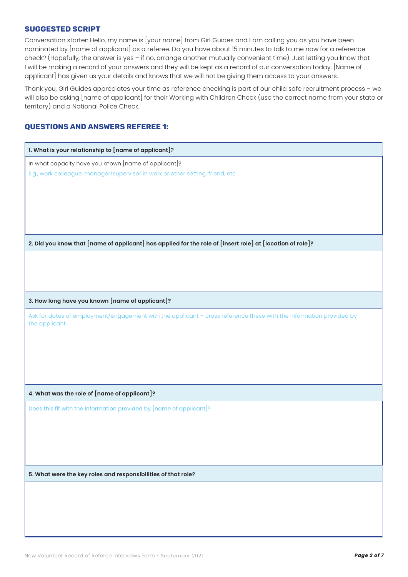## SUGGESTED SCRIPT

Conversation starter: Hello, my name is [your name] from Girl Guides and I am calling you as you have been nominated by [name of applicant] as a referee. Do you have about 15 minutes to talk to me now for a reference check? (Hopefully, the answer is yes – if no, arrange another mutually convenient time). Just letting you know that I will be making a record of your answers and they will be kept as a record of our conversation today. [Name of applicant] has given us your details and knows that we will not be giving them access to your answers.

Thank you, Girl Guides appreciates your time as reference checking is part of our child safe recruitment process – we will also be asking [name of applicant] for their Working with Children Check (use the correct name from your state or territory) and a National Police Check.

## Questions and Answers Referee 1:

| 1. What is your relationship to [name of applicant]?                                                                                |
|-------------------------------------------------------------------------------------------------------------------------------------|
| In what capacity have you known [name of applicant]?                                                                                |
| E.g., work colleague, manager/supervisor in work or other setting, friend, etc                                                      |
|                                                                                                                                     |
|                                                                                                                                     |
|                                                                                                                                     |
|                                                                                                                                     |
|                                                                                                                                     |
| 2. Did you know that [name of applicant] has applied for the role of [insert role] at [location of role]?                           |
|                                                                                                                                     |
|                                                                                                                                     |
|                                                                                                                                     |
|                                                                                                                                     |
| 3. How long have you known [name of applicant]?                                                                                     |
| Ask for dates of employment/engagement with the applicant - cross reference these with the information provided by<br>the applicant |
|                                                                                                                                     |
|                                                                                                                                     |
|                                                                                                                                     |
|                                                                                                                                     |
|                                                                                                                                     |
| 4. What was the role of [name of applicant]?                                                                                        |
| Does this fit with the information provided by [name of applicant]?                                                                 |
|                                                                                                                                     |
|                                                                                                                                     |
|                                                                                                                                     |
|                                                                                                                                     |
|                                                                                                                                     |
| 5. What were the key roles and responsibilities of that role?                                                                       |
|                                                                                                                                     |
|                                                                                                                                     |
|                                                                                                                                     |
|                                                                                                                                     |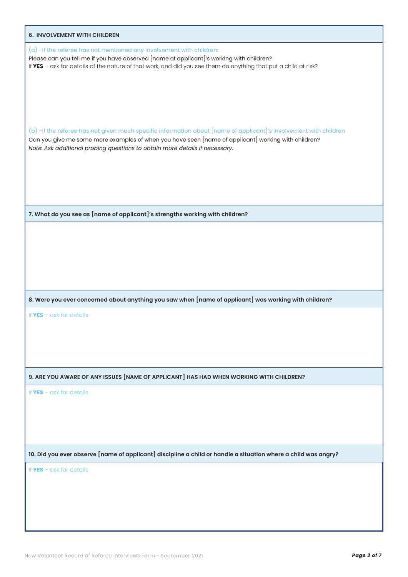| 6. INVOLVEMENT WITH CHILDREN                                                                                                                                                                                                                                                                                         |
|----------------------------------------------------------------------------------------------------------------------------------------------------------------------------------------------------------------------------------------------------------------------------------------------------------------------|
| (a) -If the referee has not mentioned any involvement with children:<br>Please can you tell me if you have observed [name of applicant]'s working with children?<br>If YES - ask for details of the nature of that work, and did you see them do anything that put a child at risk?                                  |
| (b) -If the referee has not given much specific information about $[$ name of applicant $]^\prime$ s involvement with children<br>Can you give me some more examples of when you have seen [name of applicant] working with children?<br>Note: Ask additional probing questions to obtain more details if necessary. |
|                                                                                                                                                                                                                                                                                                                      |
| 7. What do you see as [name of applicant]'s strengths working with children?                                                                                                                                                                                                                                         |
|                                                                                                                                                                                                                                                                                                                      |
|                                                                                                                                                                                                                                                                                                                      |
|                                                                                                                                                                                                                                                                                                                      |
|                                                                                                                                                                                                                                                                                                                      |
| 8. Were you ever concerned about anything you saw when [name of applicant] was working with children?                                                                                                                                                                                                                |
| If $YES - \text{ask}$ for details                                                                                                                                                                                                                                                                                    |
|                                                                                                                                                                                                                                                                                                                      |
|                                                                                                                                                                                                                                                                                                                      |
|                                                                                                                                                                                                                                                                                                                      |
| 9. ARE YOU AWARE OF ANY ISSUES [NAME OF APPLICANT] HAS HAD WHEN WORKING WITH CHILDREN?                                                                                                                                                                                                                               |
| If $YES - \text{ask}$ for details                                                                                                                                                                                                                                                                                    |
|                                                                                                                                                                                                                                                                                                                      |
|                                                                                                                                                                                                                                                                                                                      |
|                                                                                                                                                                                                                                                                                                                      |
| 10. Did you ever observe [name of applicant] discipline a child or handle a situation where a child was angry?                                                                                                                                                                                                       |
| If $YES - \text{ask}$ for details                                                                                                                                                                                                                                                                                    |
|                                                                                                                                                                                                                                                                                                                      |
|                                                                                                                                                                                                                                                                                                                      |
|                                                                                                                                                                                                                                                                                                                      |
|                                                                                                                                                                                                                                                                                                                      |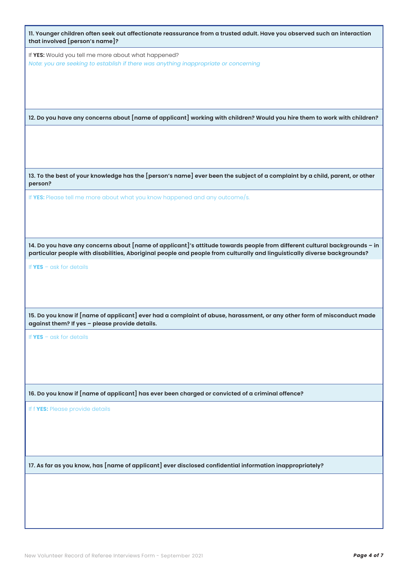| 11. Younger children often seek out affectionate reassurance from a trusted adult. Have you observed such an interaction<br>that involved [person's name]?                                                                                             |  |  |
|--------------------------------------------------------------------------------------------------------------------------------------------------------------------------------------------------------------------------------------------------------|--|--|
| If YES: Would you tell me more about what happened?<br>Note: you are seeking to establish if there was anything inappropriate or concerning                                                                                                            |  |  |
| 12. Do you have any concerns about [name of applicant] working with children? Would you hire them to work with children?                                                                                                                               |  |  |
|                                                                                                                                                                                                                                                        |  |  |
| 13. To the best of your knowledge has the [person's name] ever been the subject of a complaint by a child, parent, or other<br>person?                                                                                                                 |  |  |
| If YES: Please tell me more about what you know happened and any outcome/s.                                                                                                                                                                            |  |  |
|                                                                                                                                                                                                                                                        |  |  |
| 14. Do you have any concerns about [name of applicant]'s attitude towards people from different cultural backgrounds - in<br>particular people with disabilities, Aboriginal people and people from culturally and linguistically diverse backgrounds? |  |  |
| If $YES - ask$ for details                                                                                                                                                                                                                             |  |  |
| 15. Do you know if [name of applicant] ever had a complaint of abuse, harassment, or any other form of misconduct made<br>against them? If yes - please provide details.                                                                               |  |  |
| If $YES - ask$ for details                                                                                                                                                                                                                             |  |  |
| 16. Do you know if [name of applicant] has ever been charged or convicted of a criminal offence?                                                                                                                                                       |  |  |
| If f YES: Please provide details                                                                                                                                                                                                                       |  |  |
| 17. As far as you know, has [name of applicant] ever disclosed confidential information inappropriately?                                                                                                                                               |  |  |
|                                                                                                                                                                                                                                                        |  |  |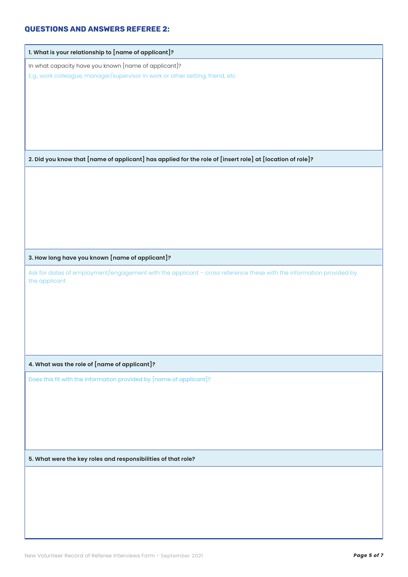## Questions and Answers Referee 2:

| 1. What is your relationship to [name of applicant]?                                                                                |
|-------------------------------------------------------------------------------------------------------------------------------------|
| In what capacity have you known [name of applicant]?                                                                                |
| E.g., work colleague, manager/supervisor in work or other setting, friend, etc                                                      |
|                                                                                                                                     |
|                                                                                                                                     |
|                                                                                                                                     |
|                                                                                                                                     |
|                                                                                                                                     |
|                                                                                                                                     |
| 2. Did you know that [name of applicant] has applied for the role of [insert role] at [location of role]?                           |
|                                                                                                                                     |
|                                                                                                                                     |
|                                                                                                                                     |
|                                                                                                                                     |
|                                                                                                                                     |
|                                                                                                                                     |
|                                                                                                                                     |
| 3. How long have you known [name of applicant]?                                                                                     |
| Ask for dates of employment/engagement with the applicant - cross reference these with the information provided by<br>the applicant |
|                                                                                                                                     |
|                                                                                                                                     |
|                                                                                                                                     |
|                                                                                                                                     |
|                                                                                                                                     |
|                                                                                                                                     |
| 4. What was the role of [name of applicant]?                                                                                        |
| Does this fit with the information provided by [name of applicant]?                                                                 |
|                                                                                                                                     |
|                                                                                                                                     |
|                                                                                                                                     |
|                                                                                                                                     |
|                                                                                                                                     |
|                                                                                                                                     |
| 5. What were the key roles and responsibilities of that role?                                                                       |
|                                                                                                                                     |
|                                                                                                                                     |
|                                                                                                                                     |
|                                                                                                                                     |
|                                                                                                                                     |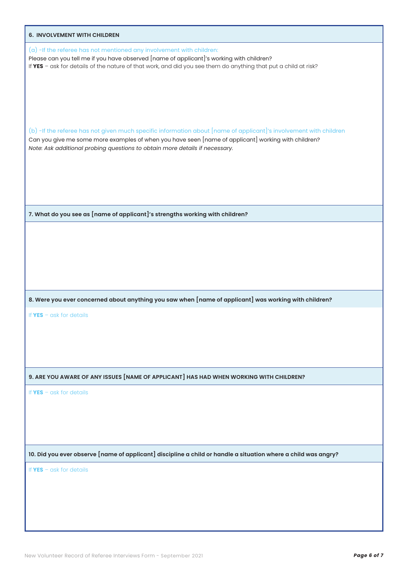| 6. INVOLVEMENT WITH CHILDREN                                                                                                                                                                                                                                                                                         |
|----------------------------------------------------------------------------------------------------------------------------------------------------------------------------------------------------------------------------------------------------------------------------------------------------------------------|
| (a) -If the referee has not mentioned any involvement with children:<br>Please can you tell me if you have observed [name of applicant]'s working with children?<br>If YES - ask for details of the nature of that work, and did you see them do anything that put a child at risk?                                  |
| (b) -If the referee has not given much specific information about $[$ name of applicant $]^\prime$ s involvement with children<br>Can you give me some more examples of when you have seen [name of applicant] working with children?<br>Note: Ask additional probing questions to obtain more details if necessary. |
|                                                                                                                                                                                                                                                                                                                      |
| 7. What do you see as [name of applicant]'s strengths working with children?                                                                                                                                                                                                                                         |
|                                                                                                                                                                                                                                                                                                                      |
| 8. Were you ever concerned about anything you saw when [name of applicant] was working with children?                                                                                                                                                                                                                |
| If $YES - \alpha sk$ for details                                                                                                                                                                                                                                                                                     |
| 9. ARE YOU AWARE OF ANY ISSUES [NAME OF APPLICANT] HAS HAD WHEN WORKING WITH CHILDREN?                                                                                                                                                                                                                               |
| If $YES - \alpha sk$ for details                                                                                                                                                                                                                                                                                     |
| 10. Did you ever observe [name of applicant] discipline a child or handle a situation where a child was angry?                                                                                                                                                                                                       |
| If $YES - \text{ask}$ for details                                                                                                                                                                                                                                                                                    |
|                                                                                                                                                                                                                                                                                                                      |